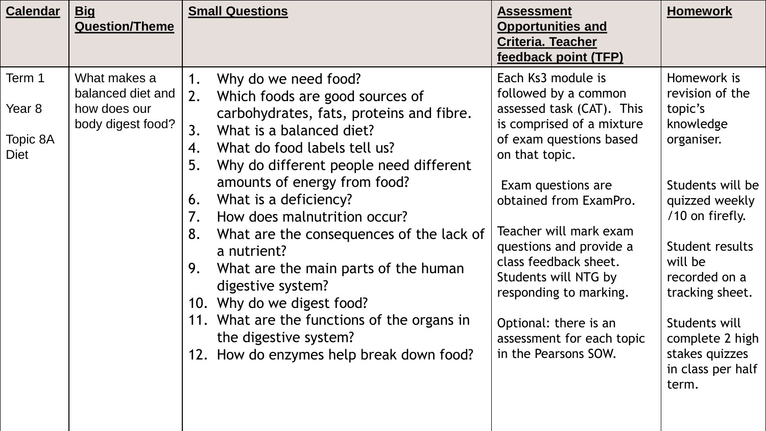| <b>Calendar</b>                      | <u>Big</u><br><b>Question/Theme</b>                                    | <b>Small Questions</b>                                                                                                                                                                                                                                                                                                                                                                                                                                                                                                                                                                                                             | <b>Assessment</b><br><b>Opportunities and</b><br><b>Criteria. Teacher</b><br>feedback point (TFP)                                                                                                                                                                                                                                                                                                               | <b>Homework</b>                                                                                                                                                                                                                                                                     |
|--------------------------------------|------------------------------------------------------------------------|------------------------------------------------------------------------------------------------------------------------------------------------------------------------------------------------------------------------------------------------------------------------------------------------------------------------------------------------------------------------------------------------------------------------------------------------------------------------------------------------------------------------------------------------------------------------------------------------------------------------------------|-----------------------------------------------------------------------------------------------------------------------------------------------------------------------------------------------------------------------------------------------------------------------------------------------------------------------------------------------------------------------------------------------------------------|-------------------------------------------------------------------------------------------------------------------------------------------------------------------------------------------------------------------------------------------------------------------------------------|
| Term 1<br>Year 8<br>Topic 8A<br>Diet | What makes a<br>balanced diet and<br>how does our<br>body digest food? | Why do we need food?<br>1.<br>2.<br>Which foods are good sources of<br>carbohydrates, fats, proteins and fibre.<br>What is a balanced diet?<br>3.<br>What do food labels tell us?<br>4.<br>5.<br>Why do different people need different<br>amounts of energy from food?<br>What is a deficiency?<br>6.<br>How does malnutrition occur?<br>7.<br>What are the consequences of the lack of<br>8.<br>a nutrient?<br>What are the main parts of the human<br>9.<br>digestive system?<br>10. Why do we digest food?<br>11. What are the functions of the organs in<br>the digestive system?<br>12. How do enzymes help break down food? | Each Ks3 module is<br>followed by a common<br>assessed task (CAT). This<br>is comprised of a mixture<br>of exam questions based<br>on that topic.<br>Exam questions are<br>obtained from ExamPro.<br>Teacher will mark exam<br>questions and provide a<br>class feedback sheet.<br>Students will NTG by<br>responding to marking.<br>Optional: there is an<br>assessment for each topic<br>in the Pearsons SOW. | Homework is<br>revision of the<br>topic's<br>knowledge<br>organiser.<br>Students will be<br>quizzed weekly<br>/10 on firefly.<br>Student results<br>will be<br>recorded on a<br>tracking sheet.<br>Students will<br>complete 2 high<br>stakes quizzes<br>in class per half<br>term. |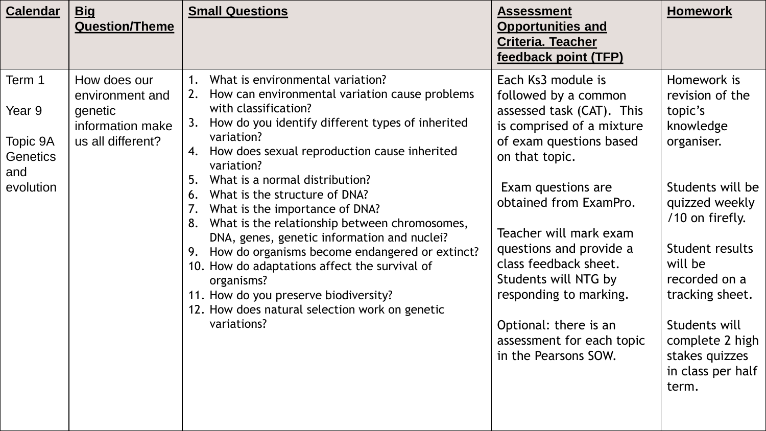| What is environmental variation?<br>Each Ks3 module is<br>Term 1<br>How does our<br>2. How can environmental variation cause problems<br>followed by a common<br>environment and                                                                                                                                                                                                                                                                                                                                                                                                                                                                                                                                                                                                                                                                                                                                                                                                                                                                           | <b>Calendar</b><br><u>Big</u><br><b>Question/Theme</b> | <b>Small Questions</b> | <b>Assessment</b><br><b>Opportunities and</b><br><b>Criteria. Teacher</b><br>feedback point (TFP) | <b>Homework</b>                                                                                                                                                                                                                                   |
|------------------------------------------------------------------------------------------------------------------------------------------------------------------------------------------------------------------------------------------------------------------------------------------------------------------------------------------------------------------------------------------------------------------------------------------------------------------------------------------------------------------------------------------------------------------------------------------------------------------------------------------------------------------------------------------------------------------------------------------------------------------------------------------------------------------------------------------------------------------------------------------------------------------------------------------------------------------------------------------------------------------------------------------------------------|--------------------------------------------------------|------------------------|---------------------------------------------------------------------------------------------------|---------------------------------------------------------------------------------------------------------------------------------------------------------------------------------------------------------------------------------------------------|
| How do you identify different types of inherited<br>3.<br>information make<br>is comprised of a mixture<br>variation?<br>us all different?<br>Topic 9A<br>of exam questions based<br>organiser.<br>How does sexual reproduction cause inherited<br>4.<br><b>Genetics</b><br>on that topic.<br>variation?<br>and<br>What is a normal distribution?<br>5.<br>evolution<br>Exam questions are<br>What is the structure of DNA?<br>6.<br>obtained from ExamPro.<br>What is the importance of DNA?<br>What is the relationship between chromosomes,<br>Teacher will mark exam<br>DNA, genes, genetic information and nuclei?<br>questions and provide a<br>How do organisms become endangered or extinct?<br>class feedback sheet.<br>will be<br>10. How do adaptations affect the survival of<br>Students will NTG by<br>organisms?<br>responding to marking.<br>11. How do you preserve biodiversity?<br>12. How does natural selection work on genetic<br>variations?<br>Optional: there is an<br>assessment for each topic<br>in the Pearsons SOW.<br>term. | Year 9<br>genetic                                      | with classification?   | assessed task (CAT). This                                                                         | Homework is<br>revision of the<br>topic's<br>knowledge<br>Students will be<br>quizzed weekly<br>/10 on firefly.<br>Student results<br>recorded on a<br>tracking sheet.<br>Students will<br>complete 2 high<br>stakes quizzes<br>in class per half |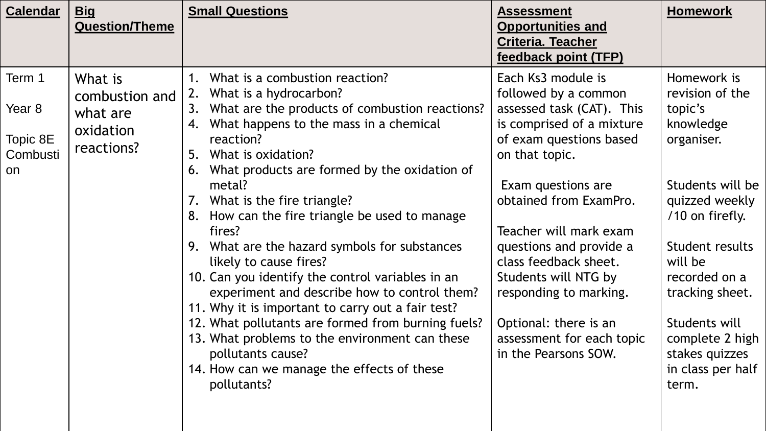| <b>Calendar</b>                          | <b>Big</b><br><b>Question/Theme</b>                              | <b>Small Questions</b>                                                                                                                                                                                                                                                                                                                                                                                                                                                                                                                                                                  | <b>Assessment</b><br><b>Opportunities and</b><br><b>Criteria. Teacher</b><br>feedback point (TFP)                                                                                                                                                          | <b>Homework</b>                                                                                                                                                                                             |
|------------------------------------------|------------------------------------------------------------------|-----------------------------------------------------------------------------------------------------------------------------------------------------------------------------------------------------------------------------------------------------------------------------------------------------------------------------------------------------------------------------------------------------------------------------------------------------------------------------------------------------------------------------------------------------------------------------------------|------------------------------------------------------------------------------------------------------------------------------------------------------------------------------------------------------------------------------------------------------------|-------------------------------------------------------------------------------------------------------------------------------------------------------------------------------------------------------------|
| Term 1<br>Year 8<br>Topic 8E<br>Combusti | What is<br>combustion and<br>what are<br>oxidation<br>reactions? | What is a combustion reaction?<br>$1_{\ldots}$<br>What is a hydrocarbon?<br>2.<br>What are the products of combustion reactions?<br>3.<br>What happens to the mass in a chemical<br>4.<br>reaction?<br>5.<br>What is oxidation?                                                                                                                                                                                                                                                                                                                                                         | Each Ks3 module is<br>followed by a common<br>assessed task (CAT). This<br>is comprised of a mixture<br>of exam questions based<br>on that topic.                                                                                                          | Homework is<br>revision of the<br>topic's<br>knowledge<br>organiser.                                                                                                                                        |
| on                                       |                                                                  | What products are formed by the oxidation of<br>6.<br>metal?<br>7. What is the fire triangle?<br>8. How can the fire triangle be used to manage<br>fires?<br>9. What are the hazard symbols for substances<br>likely to cause fires?<br>10. Can you identify the control variables in an<br>experiment and describe how to control them?<br>11. Why it is important to carry out a fair test?<br>12. What pollutants are formed from burning fuels?<br>13. What problems to the environment can these<br>pollutants cause?<br>14. How can we manage the effects of these<br>pollutants? | Exam questions are<br>obtained from ExamPro.<br>Teacher will mark exam<br>questions and provide a<br>class feedback sheet.<br>Students will NTG by<br>responding to marking.<br>Optional: there is an<br>assessment for each topic<br>in the Pearsons SOW. | Students will be<br>quizzed weekly<br>/10 on firefly.<br>Student results<br>will be<br>recorded on a<br>tracking sheet.<br>Students will<br>complete 2 high<br>stakes quizzes<br>in class per half<br>term. |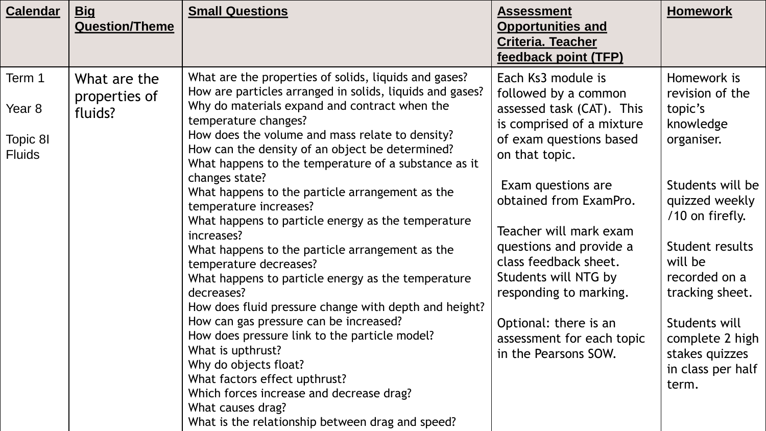| <b>Calendar</b>                               | <u>Big</u><br><b>Question/Theme</b>      | <b>Small Questions</b>                                                                                                                                                                                                                                                                                                                                                                                                                                                                                                                                                                                                                                                                                                                                                                                                                                                                                                                                                                                                               | <b>Assessment</b><br><b>Opportunities and</b><br><b>Criteria. Teacher</b><br>feedback point (TFP)                                                                                                                                                                                                                                                                                                               | <b>Homework</b>                                                                                                                                                                                                                                                                     |
|-----------------------------------------------|------------------------------------------|--------------------------------------------------------------------------------------------------------------------------------------------------------------------------------------------------------------------------------------------------------------------------------------------------------------------------------------------------------------------------------------------------------------------------------------------------------------------------------------------------------------------------------------------------------------------------------------------------------------------------------------------------------------------------------------------------------------------------------------------------------------------------------------------------------------------------------------------------------------------------------------------------------------------------------------------------------------------------------------------------------------------------------------|-----------------------------------------------------------------------------------------------------------------------------------------------------------------------------------------------------------------------------------------------------------------------------------------------------------------------------------------------------------------------------------------------------------------|-------------------------------------------------------------------------------------------------------------------------------------------------------------------------------------------------------------------------------------------------------------------------------------|
| Term 1<br>Year 8<br>Topic 8I<br><b>Fluids</b> | What are the<br>properties of<br>fluids? | What are the properties of solids, liquids and gases?<br>How are particles arranged in solids, liquids and gases?<br>Why do materials expand and contract when the<br>temperature changes?<br>How does the volume and mass relate to density?<br>How can the density of an object be determined?<br>What happens to the temperature of a substance as it<br>changes state?<br>What happens to the particle arrangement as the<br>temperature increases?<br>What happens to particle energy as the temperature<br>increases?<br>What happens to the particle arrangement as the<br>temperature decreases?<br>What happens to particle energy as the temperature<br>decreases?<br>How does fluid pressure change with depth and height?<br>How can gas pressure can be increased?<br>How does pressure link to the particle model?<br>What is upthrust?<br>Why do objects float?<br>What factors effect upthrust?<br>Which forces increase and decrease drag?<br>What causes drag?<br>What is the relationship between drag and speed? | Each Ks3 module is<br>followed by a common<br>assessed task (CAT). This<br>is comprised of a mixture<br>of exam questions based<br>on that topic.<br>Exam questions are<br>obtained from ExamPro.<br>Teacher will mark exam<br>questions and provide a<br>class feedback sheet.<br>Students will NTG by<br>responding to marking.<br>Optional: there is an<br>assessment for each topic<br>in the Pearsons SOW. | Homework is<br>revision of the<br>topic's<br>knowledge<br>organiser.<br>Students will be<br>quizzed weekly<br>/10 on firefly.<br>Student results<br>will be<br>recorded on a<br>tracking sheet.<br>Students will<br>complete 2 high<br>stakes quizzes<br>in class per half<br>term. |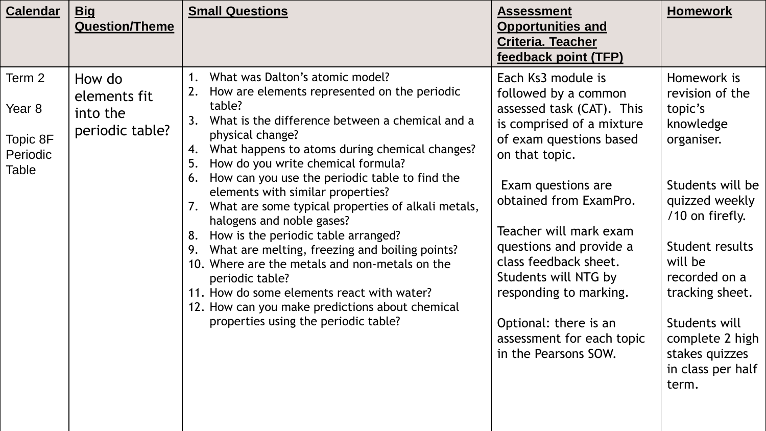| <b>Calendar</b>                                   | <u>Big</u><br><b>Question/Theme</b>                   | <b>Small Questions</b>                                                                                                                                                                                                                                                                                                                                                                                                                                                                                                                                                                                                                                                                                                                                                           | <b>Assessment</b><br><b>Opportunities and</b><br><b>Criteria. Teacher</b><br>feedback point (TFP)                                                                                                                                                                                                                                                                                                               | <b>Homework</b>                                                                                                                                                                                                                                                                     |
|---------------------------------------------------|-------------------------------------------------------|----------------------------------------------------------------------------------------------------------------------------------------------------------------------------------------------------------------------------------------------------------------------------------------------------------------------------------------------------------------------------------------------------------------------------------------------------------------------------------------------------------------------------------------------------------------------------------------------------------------------------------------------------------------------------------------------------------------------------------------------------------------------------------|-----------------------------------------------------------------------------------------------------------------------------------------------------------------------------------------------------------------------------------------------------------------------------------------------------------------------------------------------------------------------------------------------------------------|-------------------------------------------------------------------------------------------------------------------------------------------------------------------------------------------------------------------------------------------------------------------------------------|
| Term 2<br>Year 8<br>Topic 8F<br>Periodic<br>Table | How do<br>elements fit<br>into the<br>periodic table? | What was Dalton's atomic model?<br>2. How are elements represented on the periodic<br>table?<br>What is the difference between a chemical and a<br>3.<br>physical change?<br>What happens to atoms during chemical changes?<br>4.<br>How do you write chemical formula?<br>5.<br>How can you use the periodic table to find the<br>6.<br>elements with similar properties?<br>What are some typical properties of alkali metals,<br>halogens and noble gases?<br>How is the periodic table arranged?<br>8.<br>What are melting, freezing and boiling points?<br>9.<br>10. Where are the metals and non-metals on the<br>periodic table?<br>11. How do some elements react with water?<br>12. How can you make predictions about chemical<br>properties using the periodic table? | Each Ks3 module is<br>followed by a common<br>assessed task (CAT). This<br>is comprised of a mixture<br>of exam questions based<br>on that topic.<br>Exam questions are<br>obtained from ExamPro.<br>Teacher will mark exam<br>questions and provide a<br>class feedback sheet.<br>Students will NTG by<br>responding to marking.<br>Optional: there is an<br>assessment for each topic<br>in the Pearsons SOW. | Homework is<br>revision of the<br>topic's<br>knowledge<br>organiser.<br>Students will be<br>quizzed weekly<br>/10 on firefly.<br>Student results<br>will be<br>recorded on a<br>tracking sheet.<br>Students will<br>complete 2 high<br>stakes quizzes<br>in class per half<br>term. |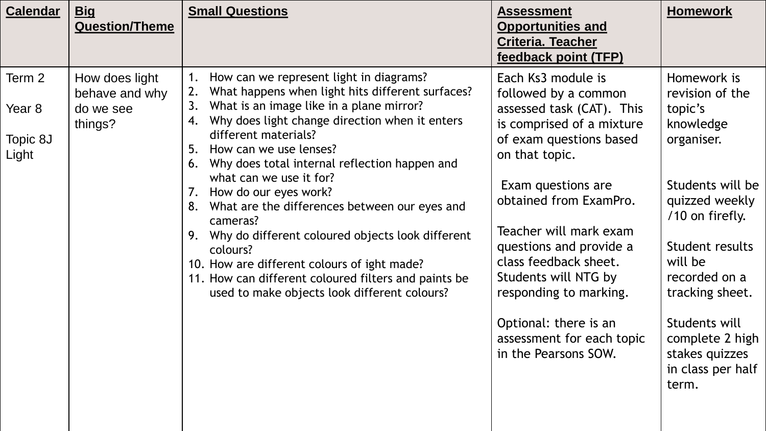| <b>Calendar</b><br><u>Big</u><br><b>Question/Theme</b>                                            | <b>Small Questions</b>                                                                                                                                                                                                                                                                                                                                                                                                                                                                                                                                                                                                                                                            | <b>Assessment</b><br><b>Opportunities and</b><br><b>Criteria. Teacher</b><br>feedback point (TFP)                                                                                                                                                                                                                                                                                                               | <b>Homework</b>                                                                                                                                                                                                                                                                     |
|---------------------------------------------------------------------------------------------------|-----------------------------------------------------------------------------------------------------------------------------------------------------------------------------------------------------------------------------------------------------------------------------------------------------------------------------------------------------------------------------------------------------------------------------------------------------------------------------------------------------------------------------------------------------------------------------------------------------------------------------------------------------------------------------------|-----------------------------------------------------------------------------------------------------------------------------------------------------------------------------------------------------------------------------------------------------------------------------------------------------------------------------------------------------------------------------------------------------------------|-------------------------------------------------------------------------------------------------------------------------------------------------------------------------------------------------------------------------------------------------------------------------------------|
| Term 2<br>How does light<br>behave and why<br>Year 8<br>do we see<br>things?<br>Topic 8J<br>Light | How can we represent light in diagrams?<br>What happens when light hits different surfaces?<br>2.<br>What is an image like in a plane mirror?<br>3.<br>Why does light change direction when it enters<br>4.<br>different materials?<br>How can we use lenses?<br>5.<br>Why does total internal reflection happen and<br>6.<br>what can we use it for?<br>7. How do our eyes work?<br>What are the differences between our eyes and<br>8.<br>cameras?<br>Why do different coloured objects look different<br>9.<br>colours?<br>10. How are different colours of ight made?<br>11. How can different coloured filters and paints be<br>used to make objects look different colours? | Each Ks3 module is<br>followed by a common<br>assessed task (CAT). This<br>is comprised of a mixture<br>of exam questions based<br>on that topic.<br>Exam questions are<br>obtained from ExamPro.<br>Teacher will mark exam<br>questions and provide a<br>class feedback sheet.<br>Students will NTG by<br>responding to marking.<br>Optional: there is an<br>assessment for each topic<br>in the Pearsons SOW. | Homework is<br>revision of the<br>topic's<br>knowledge<br>organiser.<br>Students will be<br>quizzed weekly<br>/10 on firefly.<br>Student results<br>will be<br>recorded on a<br>tracking sheet.<br>Students will<br>complete 2 high<br>stakes quizzes<br>in class per half<br>term. |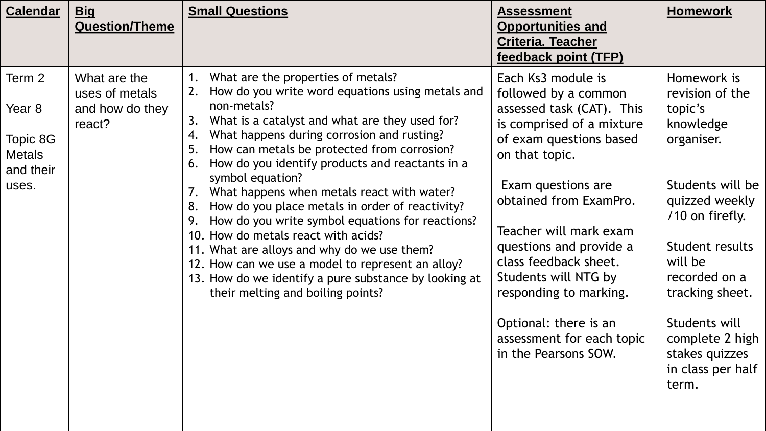| <b>Calendar</b>                                                     | <b>Big</b><br><b>Question/Theme</b>                         | <b>Small Questions</b>                                                                                                                                                                                                                                                                                                                                                                                                                                                                                                                                                                                                                                                                                                                                                    | <b>Assessment</b><br><b>Opportunities and</b><br><b>Criteria. Teacher</b><br>feedback point (TFP)                                                                                                                                                                                                                                                                                                               | <b>Homework</b>                                                                                                                                                                                                                                                                     |
|---------------------------------------------------------------------|-------------------------------------------------------------|---------------------------------------------------------------------------------------------------------------------------------------------------------------------------------------------------------------------------------------------------------------------------------------------------------------------------------------------------------------------------------------------------------------------------------------------------------------------------------------------------------------------------------------------------------------------------------------------------------------------------------------------------------------------------------------------------------------------------------------------------------------------------|-----------------------------------------------------------------------------------------------------------------------------------------------------------------------------------------------------------------------------------------------------------------------------------------------------------------------------------------------------------------------------------------------------------------|-------------------------------------------------------------------------------------------------------------------------------------------------------------------------------------------------------------------------------------------------------------------------------------|
| Term 2<br>Year 8<br>Topic 8G<br><b>Metals</b><br>and their<br>uses. | What are the<br>uses of metals<br>and how do they<br>react? | What are the properties of metals?<br>1.<br>How do you write word equations using metals and<br>non-metals?<br>What is a catalyst and what are they used for?<br>3.<br>What happens during corrosion and rusting?<br>4.<br>How can metals be protected from corrosion?<br>5.<br>How do you identify products and reactants in a<br>6.<br>symbol equation?<br>What happens when metals react with water?<br>7.<br>How do you place metals in order of reactivity?<br>8.<br>How do you write symbol equations for reactions?<br>9.<br>10. How do metals react with acids?<br>11. What are alloys and why do we use them?<br>12. How can we use a model to represent an alloy?<br>13. How do we identify a pure substance by looking at<br>their melting and boiling points? | Each Ks3 module is<br>followed by a common<br>assessed task (CAT). This<br>is comprised of a mixture<br>of exam questions based<br>on that topic.<br>Exam questions are<br>obtained from ExamPro.<br>Teacher will mark exam<br>questions and provide a<br>class feedback sheet.<br>Students will NTG by<br>responding to marking.<br>Optional: there is an<br>assessment for each topic<br>in the Pearsons SOW. | Homework is<br>revision of the<br>topic's<br>knowledge<br>organiser.<br>Students will be<br>quizzed weekly<br>/10 on firefly.<br>Student results<br>will be<br>recorded on a<br>tracking sheet.<br>Students will<br>complete 2 high<br>stakes quizzes<br>in class per half<br>term. |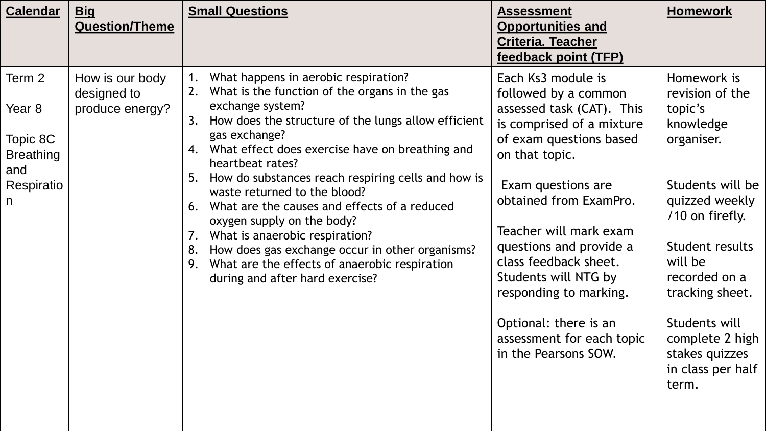| <b>Calendar</b>                                                            | <u>Big</u><br><b>Question/Theme</b>               | <b>Small Questions</b>                                                                                                                                                                                                                                                                                                                                                                                                                                                                                                                                                                                                                                      | <b>Assessment</b><br><b>Opportunities and</b><br><b>Criteria. Teacher</b><br>feedback point (TFP)                                                                                                                                                                                                                                                                                                               | <b>Homework</b>                                                                                                                                                                                                                                                                     |
|----------------------------------------------------------------------------|---------------------------------------------------|-------------------------------------------------------------------------------------------------------------------------------------------------------------------------------------------------------------------------------------------------------------------------------------------------------------------------------------------------------------------------------------------------------------------------------------------------------------------------------------------------------------------------------------------------------------------------------------------------------------------------------------------------------------|-----------------------------------------------------------------------------------------------------------------------------------------------------------------------------------------------------------------------------------------------------------------------------------------------------------------------------------------------------------------------------------------------------------------|-------------------------------------------------------------------------------------------------------------------------------------------------------------------------------------------------------------------------------------------------------------------------------------|
| Term 2<br>Year 8<br>Topic 8C<br><b>Breathing</b><br>and<br>Respiratio<br>n | How is our body<br>designed to<br>produce energy? | What happens in aerobic respiration?<br>1.<br>What is the function of the organs in the gas<br>2.<br>exchange system?<br>How does the structure of the lungs allow efficient<br>3.<br>gas exchange?<br>What effect does exercise have on breathing and<br>4.<br>heartbeat rates?<br>How do substances reach respiring cells and how is<br>5.<br>waste returned to the blood?<br>What are the causes and effects of a reduced<br>6.<br>oxygen supply on the body?<br>What is anaerobic respiration?<br>7.<br>How does gas exchange occur in other organisms?<br>8.<br>What are the effects of anaerobic respiration<br>9.<br>during and after hard exercise? | Each Ks3 module is<br>followed by a common<br>assessed task (CAT). This<br>is comprised of a mixture<br>of exam questions based<br>on that topic.<br>Exam questions are<br>obtained from ExamPro.<br>Teacher will mark exam<br>questions and provide a<br>class feedback sheet.<br>Students will NTG by<br>responding to marking.<br>Optional: there is an<br>assessment for each topic<br>in the Pearsons SOW. | Homework is<br>revision of the<br>topic's<br>knowledge<br>organiser.<br>Students will be<br>quizzed weekly<br>/10 on firefly.<br>Student results<br>will be<br>recorded on a<br>tracking sheet.<br>Students will<br>complete 2 high<br>stakes quizzes<br>in class per half<br>term. |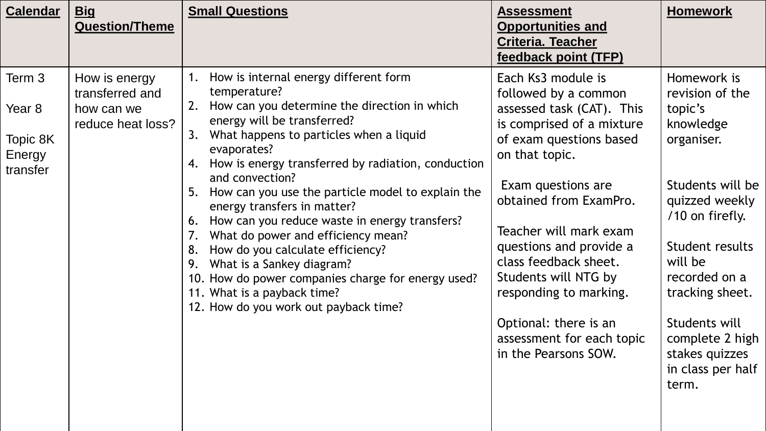| <b>Calendar</b>                                    | <u>Big</u><br><b>Question/Theme</b>                                 | <b>Small Questions</b>                                                                                                                                                                                                                                                                                                                                                                                                                                                                                                                                                                                                                                                                         | <b>Assessment</b><br><b>Opportunities and</b><br><b>Criteria. Teacher</b><br>feedback point (TFP)                                                                                                                                                                                                                                                                                                               | <b>Homework</b>                                                                                                                                                                                                                                                                     |
|----------------------------------------------------|---------------------------------------------------------------------|------------------------------------------------------------------------------------------------------------------------------------------------------------------------------------------------------------------------------------------------------------------------------------------------------------------------------------------------------------------------------------------------------------------------------------------------------------------------------------------------------------------------------------------------------------------------------------------------------------------------------------------------------------------------------------------------|-----------------------------------------------------------------------------------------------------------------------------------------------------------------------------------------------------------------------------------------------------------------------------------------------------------------------------------------------------------------------------------------------------------------|-------------------------------------------------------------------------------------------------------------------------------------------------------------------------------------------------------------------------------------------------------------------------------------|
| Term 3<br>Year 8<br>Topic 8K<br>Energy<br>transfer | How is energy<br>transferred and<br>how can we<br>reduce heat loss? | How is internal energy different form<br>1.<br>temperature?<br>How can you determine the direction in which<br>2.<br>energy will be transferred?<br>What happens to particles when a liquid<br>3.<br>evaporates?<br>How is energy transferred by radiation, conduction<br>4.<br>and convection?<br>5. How can you use the particle model to explain the<br>energy transfers in matter?<br>How can you reduce waste in energy transfers?<br>6.<br>What do power and efficiency mean?<br>How do you calculate efficiency?<br>8.<br>What is a Sankey diagram?<br>9.<br>10. How do power companies charge for energy used?<br>11. What is a payback time?<br>12. How do you work out payback time? | Each Ks3 module is<br>followed by a common<br>assessed task (CAT). This<br>is comprised of a mixture<br>of exam questions based<br>on that topic.<br>Exam questions are<br>obtained from ExamPro.<br>Teacher will mark exam<br>questions and provide a<br>class feedback sheet.<br>Students will NTG by<br>responding to marking.<br>Optional: there is an<br>assessment for each topic<br>in the Pearsons SOW. | Homework is<br>revision of the<br>topic's<br>knowledge<br>organiser.<br>Students will be<br>quizzed weekly<br>/10 on firefly.<br>Student results<br>will be<br>recorded on a<br>tracking sheet.<br>Students will<br>complete 2 high<br>stakes quizzes<br>in class per half<br>term. |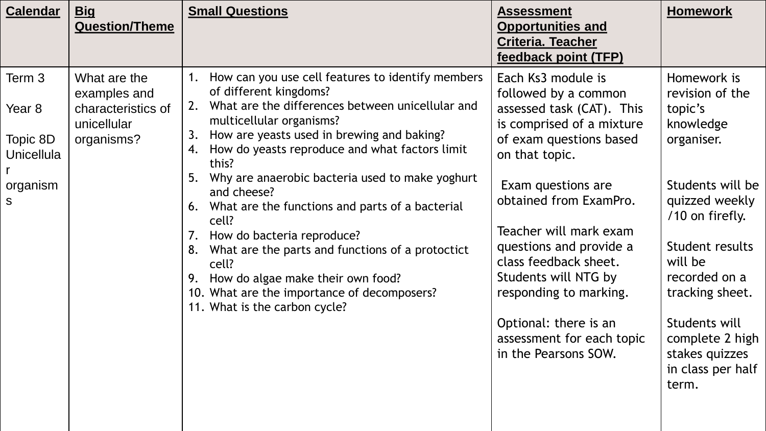| <b>Calendar</b>                                                               | <u>Big</u><br><b>Question/Theme</b>                                             | <b>Small Questions</b>                                                                                                                                                                                                                                                                                                                                                                                                                                                                                                                                                                                                                                                | <b>Assessment</b><br><b>Opportunities and</b><br><b>Criteria. Teacher</b><br>feedback point (TFP)                                                                                                                                                                                                                                                                                                               | <b>Homework</b>                                                                                                                                                                                                                                                                     |
|-------------------------------------------------------------------------------|---------------------------------------------------------------------------------|-----------------------------------------------------------------------------------------------------------------------------------------------------------------------------------------------------------------------------------------------------------------------------------------------------------------------------------------------------------------------------------------------------------------------------------------------------------------------------------------------------------------------------------------------------------------------------------------------------------------------------------------------------------------------|-----------------------------------------------------------------------------------------------------------------------------------------------------------------------------------------------------------------------------------------------------------------------------------------------------------------------------------------------------------------------------------------------------------------|-------------------------------------------------------------------------------------------------------------------------------------------------------------------------------------------------------------------------------------------------------------------------------------|
| Term 3<br>Year <sub>8</sub><br>Topic 8D<br><b>Unicellula</b><br>organism<br>S | What are the<br>examples and<br>characteristics of<br>unicellular<br>organisms? | How can you use cell features to identify members<br>1.<br>of different kingdoms?<br>What are the differences between unicellular and<br>2.<br>multicellular organisms?<br>How are yeasts used in brewing and baking?<br>3.<br>How do yeasts reproduce and what factors limit<br>4.<br>this?<br>Why are anaerobic bacteria used to make yoghurt<br>5.<br>and cheese?<br>What are the functions and parts of a bacterial<br>6.<br>cell?<br>How do bacteria reproduce?<br>7.<br>What are the parts and functions of a protoctict<br>8.<br>cell?<br>9. How do algae make their own food?<br>10. What are the importance of decomposers?<br>11. What is the carbon cycle? | Each Ks3 module is<br>followed by a common<br>assessed task (CAT). This<br>is comprised of a mixture<br>of exam questions based<br>on that topic.<br>Exam questions are<br>obtained from ExamPro.<br>Teacher will mark exam<br>questions and provide a<br>class feedback sheet.<br>Students will NTG by<br>responding to marking.<br>Optional: there is an<br>assessment for each topic<br>in the Pearsons SOW. | Homework is<br>revision of the<br>topic's<br>knowledge<br>organiser.<br>Students will be<br>quizzed weekly<br>/10 on firefly.<br>Student results<br>will be<br>recorded on a<br>tracking sheet.<br>Students will<br>complete 2 high<br>stakes quizzes<br>in class per half<br>term. |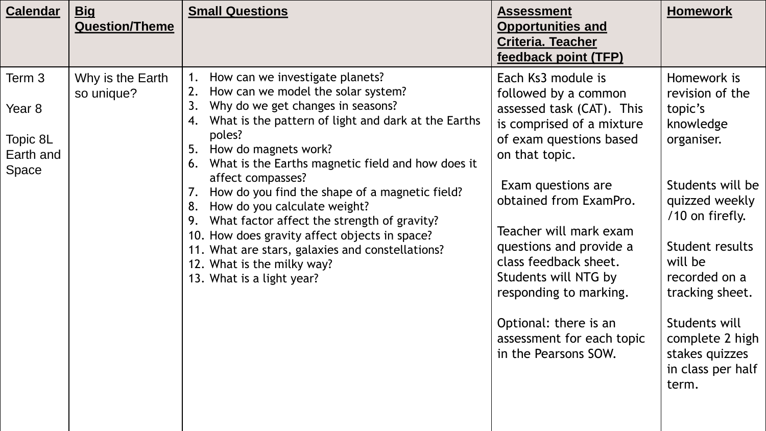| <b>Calendar</b>                                               | <u>Big</u><br><b>Question/Theme</b> | <b>Small Questions</b>                                                                                                                                                                                                                                                                                                                                                                                                                                                                                                                                                                                                               | <b>Assessment</b><br><b>Opportunities and</b><br><b>Criteria. Teacher</b><br>feedback point (TFP)                                                                                                                                                                                                                                                                                                               | <b>Homework</b>                                                                                                                                                                                                                                                                     |
|---------------------------------------------------------------|-------------------------------------|--------------------------------------------------------------------------------------------------------------------------------------------------------------------------------------------------------------------------------------------------------------------------------------------------------------------------------------------------------------------------------------------------------------------------------------------------------------------------------------------------------------------------------------------------------------------------------------------------------------------------------------|-----------------------------------------------------------------------------------------------------------------------------------------------------------------------------------------------------------------------------------------------------------------------------------------------------------------------------------------------------------------------------------------------------------------|-------------------------------------------------------------------------------------------------------------------------------------------------------------------------------------------------------------------------------------------------------------------------------------|
| Term 3<br>Year <sub>8</sub><br>Topic 8L<br>Earth and<br>Space | Why is the Earth<br>so unique?      | How can we investigate planets?<br>1.<br>How can we model the solar system?<br>2.<br>Why do we get changes in seasons?<br>3.<br>What is the pattern of light and dark at the Earths<br>4.<br>poles?<br>How do magnets work?<br>5.<br>What is the Earths magnetic field and how does it<br>6.<br>affect compasses?<br>How do you find the shape of a magnetic field?<br>7.<br>How do you calculate weight?<br>8.<br>What factor affect the strength of gravity?<br>9.<br>10. How does gravity affect objects in space?<br>11. What are stars, galaxies and constellations?<br>12. What is the milky way?<br>13. What is a light year? | Each Ks3 module is<br>followed by a common<br>assessed task (CAT). This<br>is comprised of a mixture<br>of exam questions based<br>on that topic.<br>Exam questions are<br>obtained from ExamPro.<br>Teacher will mark exam<br>questions and provide a<br>class feedback sheet.<br>Students will NTG by<br>responding to marking.<br>Optional: there is an<br>assessment for each topic<br>in the Pearsons SOW. | Homework is<br>revision of the<br>topic's<br>knowledge<br>organiser.<br>Students will be<br>quizzed weekly<br>/10 on firefly.<br>Student results<br>will be<br>recorded on a<br>tracking sheet.<br>Students will<br>complete 2 high<br>stakes quizzes<br>in class per half<br>term. |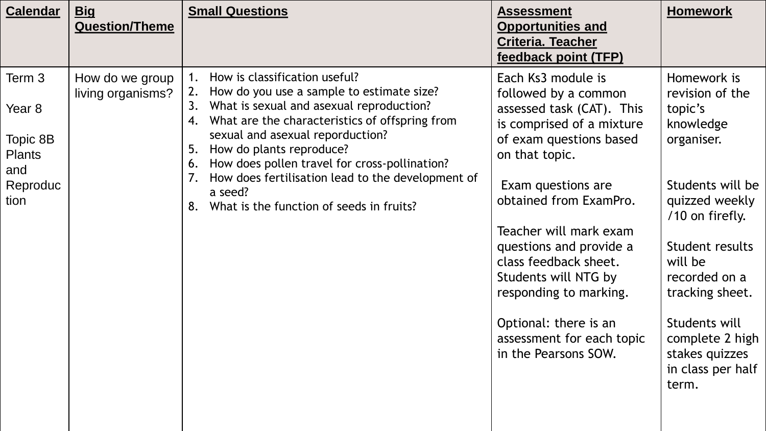| <b>Calendar</b>                                                          | <u>Big</u><br><b>Question/Theme</b>  | <b>Small Questions</b>                                                                                                                                                                                                                                                                                                                                                                                                                                | <b>Assessment</b><br><b>Opportunities and</b><br><b>Criteria. Teacher</b><br>feedback point (TFP)                                                                                                                                                                                                                                                                                                               | <b>Homework</b>                                                                                                                                                                                                                                                                     |
|--------------------------------------------------------------------------|--------------------------------------|-------------------------------------------------------------------------------------------------------------------------------------------------------------------------------------------------------------------------------------------------------------------------------------------------------------------------------------------------------------------------------------------------------------------------------------------------------|-----------------------------------------------------------------------------------------------------------------------------------------------------------------------------------------------------------------------------------------------------------------------------------------------------------------------------------------------------------------------------------------------------------------|-------------------------------------------------------------------------------------------------------------------------------------------------------------------------------------------------------------------------------------------------------------------------------------|
| Term 3<br>Year 8<br>Topic 8B<br><b>Plants</b><br>and<br>Reproduc<br>tion | How do we group<br>living organisms? | How is classification useful?<br>1.<br>How do you use a sample to estimate size?<br>2.<br>What is sexual and asexual reproduction?<br>3.<br>What are the characteristics of offspring from<br>4.<br>sexual and asexual reporduction?<br>How do plants reproduce?<br>5.<br>How does pollen travel for cross-pollination?<br>6.<br>How does fertilisation lead to the development of<br>7.<br>a seed?<br>What is the function of seeds in fruits?<br>8. | Each Ks3 module is<br>followed by a common<br>assessed task (CAT). This<br>is comprised of a mixture<br>of exam questions based<br>on that topic.<br>Exam questions are<br>obtained from ExamPro.<br>Teacher will mark exam<br>questions and provide a<br>class feedback sheet.<br>Students will NTG by<br>responding to marking.<br>Optional: there is an<br>assessment for each topic<br>in the Pearsons SOW. | Homework is<br>revision of the<br>topic's<br>knowledge<br>organiser.<br>Students will be<br>quizzed weekly<br>/10 on firefly.<br>Student results<br>will be<br>recorded on a<br>tracking sheet.<br>Students will<br>complete 2 high<br>stakes quizzes<br>in class per half<br>term. |